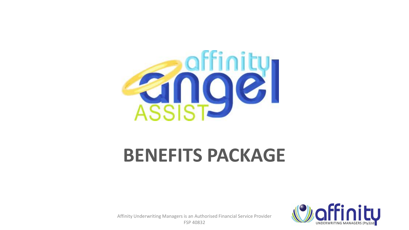

# **BENEFITS PACKAGE**



Affinity Underwriting Managers is an Authorised Financial Service Provider FSP 40832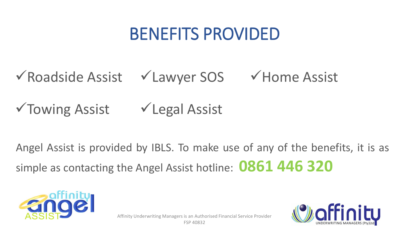## BENEFITS PROVIDED

## ✓Roadside Assist ✓Lawyer SOS ✓Home Assist

✓Towing Assist ✓Legal Assist

Angel Assist is provided by IBLS. To make use of any of the benefits, it is as simple as contacting the Angel Assist hotline: **0861 446 320**



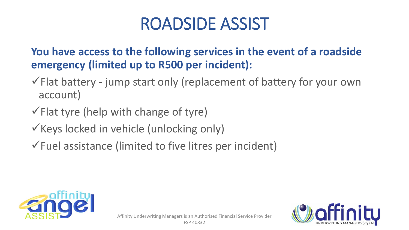**You have access to the following services in the event of a roadside emergency (limited up to R500 per incident):** 

- $\checkmark$  Flat battery jump start only (replacement of battery for your own account)
- $\checkmark$  Flat tyre (help with change of tyre)
- $\checkmark$  Keys locked in vehicle (unlocking only)
- $\checkmark$  Fuel assistance (limited to five litres per incident)



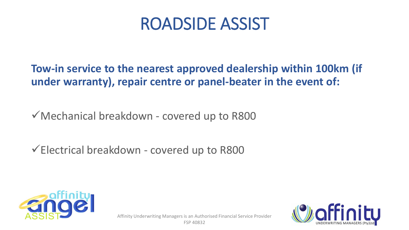**Tow-in service to the nearest approved dealership within 100km (if under warranty), repair centre or panel-beater in the event of:** 

✓Mechanical breakdown - covered up to R800

✓Electrical breakdown - covered up to R800



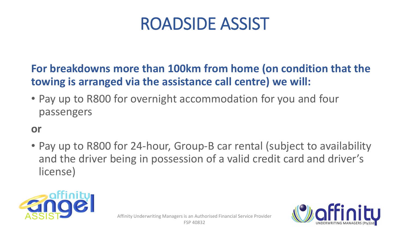#### **For breakdowns more than 100km from home (on condition that the towing is arranged via the assistance call centre) we will:**

• Pay up to R800 for overnight accommodation for you and four passengers

#### **or**

• Pay up to R800 for 24-hour, Group-B car rental (subject to availability and the driver being in possession of a valid credit card and driver's license)



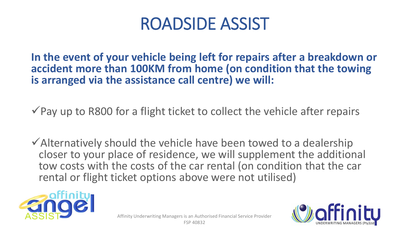**In the event of your vehicle being left for repairs after a breakdown or accident more than 100KM from home (on condition that the towing is arranged via the assistance call centre) we will:**

 $\checkmark$  Pay up to R800 for a flight ticket to collect the vehicle after repairs

 $\checkmark$  Alternatively should the vehicle have been towed to a dealership closer to your place of residence, we will supplement the additional tow costs with the costs of the car rental (on condition that the car rental or flight ticket options above were not utilised)



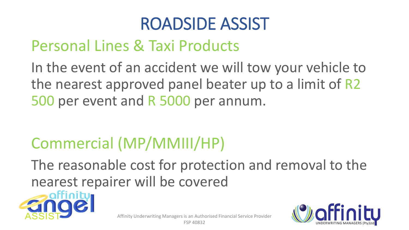### Personal Lines & Taxi Products

In the event of an accident we will tow your vehicle to the nearest approved panel beater up to a limit of R2 500 per event and R 5000 per annum.

## Commercial (MP/MMIII/HP)

The reasonable cost for protection and removal to the nearest repairer will be covered



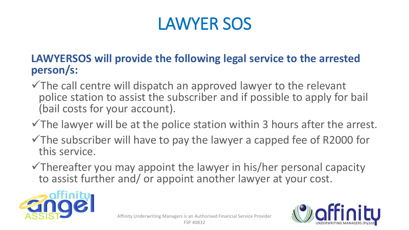## LAWYER SOS

#### **LAWYERSOS will provide the following legal service to the arrested person/s:**

- $\checkmark$  The call centre will dispatch an approved lawyer to the relevant police station to assist the subscriber and if possible to apply for bail (bail costs for your account).
- $\checkmark$ The lawyer will be at the police station within 3 hours after the arrest.
- $\checkmark$ The subscriber will have to pay the lawyer a capped fee of R2000 for this service.
- $\checkmark$ Thereafter you may appoint the lawyer in his/her personal capacity to assist further and/ or appoint another lawyer at your cost.



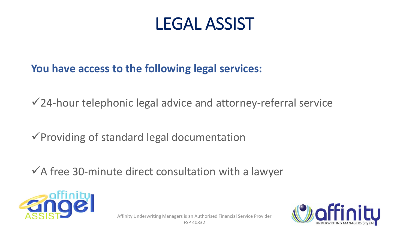### LEGAL ASSIST

#### **You have access to the following legal services:**

 $\sqrt{24}$ -hour telephonic legal advice and attorney-referral service

✓Providing of standard legal documentation

 $\checkmark$  A free 30-minute direct consultation with a lawyer